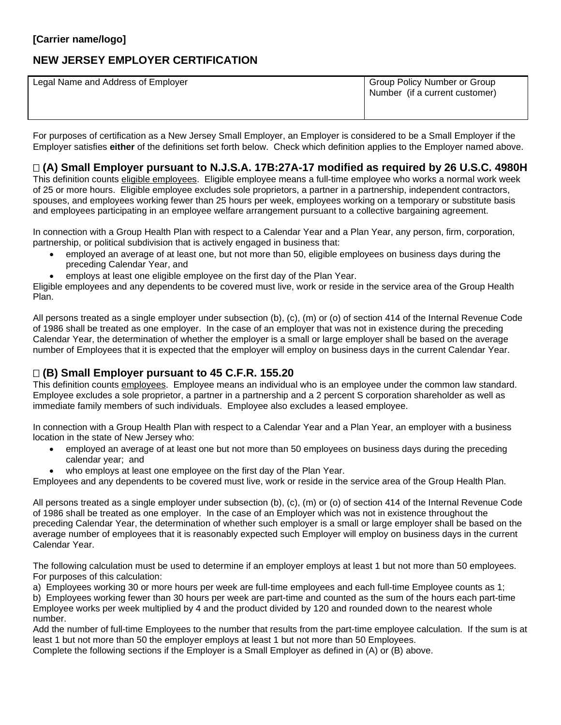# **NEW JERSEY EMPLOYER CERTIFICATION**

| Legal Name and Address of Employer | Group Policy Number or Group<br>Number (if a current customer) |
|------------------------------------|----------------------------------------------------------------|
|                                    |                                                                |

For purposes of certification as a New Jersey Small Employer, an Employer is considered to be a Small Employer if the Employer satisfies **either** of the definitions set forth below. Check which definition applies to the Employer named above.

### **(A) Small Employer pursuant to N.J.S.A. 17B:27A-17 modified as required by 26 U.S.C. 4980H**

This definition counts eligible employees. Eligible employee means a full-time employee who works a normal work week of 25 or more hours. Eligible employee excludes sole proprietors, a partner in a partnership, independent contractors, spouses, and employees working fewer than 25 hours per week, employees working on a temporary or substitute basis and employees participating in an employee welfare arrangement pursuant to a collective bargaining agreement.

In connection with a Group Health Plan with respect to a Calendar Year and a Plan Year, any person, firm, corporation, partnership, or political subdivision that is actively engaged in business that:

- employed an average of at least one, but not more than 50, eligible employees on business days during the preceding Calendar Year, and
- employs at least one eligible employee on the first day of the Plan Year.

Eligible employees and any dependents to be covered must live, work or reside in the service area of the Group Health Plan.

All persons treated as a single employer under subsection (b), (c), (m) or (o) of section 414 of the Internal Revenue Code of 1986 shall be treated as one employer. In the case of an employer that was not in existence during the preceding Calendar Year, the determination of whether the employer is a small or large employer shall be based on the average number of Employees that it is expected that the employer will employ on business days in the current Calendar Year.

## **(B) Small Employer pursuant to 45 C.F.R. 155.20**

This definition counts employees. Employee means an individual who is an employee under the common law standard. Employee excludes a sole proprietor, a partner in a partnership and a 2 percent S corporation shareholder as well as immediate family members of such individuals. Employee also excludes a leased employee.

In connection with a Group Health Plan with respect to a Calendar Year and a Plan Year, an employer with a business location in the state of New Jersey who:

- employed an average of at least one but not more than 50 employees on business days during the preceding calendar year; and
- who employs at least one employee on the first day of the Plan Year.

Employees and any dependents to be covered must live, work or reside in the service area of the Group Health Plan.

All persons treated as a single employer under subsection (b), (c), (m) or (o) of section 414 of the Internal Revenue Code of 1986 shall be treated as one employer. In the case of an Employer which was not in existence throughout the preceding Calendar Year, the determination of whether such employer is a small or large employer shall be based on the average number of employees that it is reasonably expected such Employer will employ on business days in the current Calendar Year.

The following calculation must be used to determine if an employer employs at least 1 but not more than 50 employees. For purposes of this calculation:

a) Employees working 30 or more hours per week are full-time employees and each full-time Employee counts as 1;

b) Employees working fewer than 30 hours per week are part-time and counted as the sum of the hours each part-time Employee works per week multiplied by 4 and the product divided by 120 and rounded down to the nearest whole number.

Add the number of full-time Employees to the number that results from the part-time employee calculation. If the sum is at least 1 but not more than 50 the employer employs at least 1 but not more than 50 Employees.

Complete the following sections if the Employer is a Small Employer as defined in (A) or (B) above.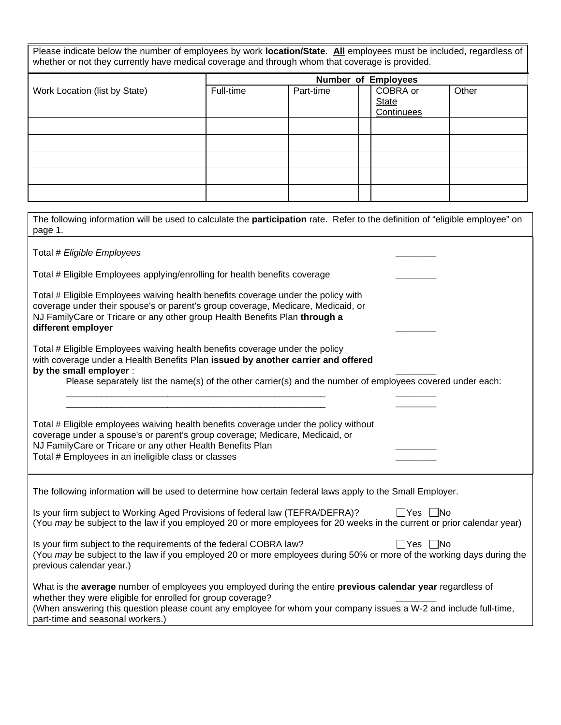| Please indicate below the number of employees by work location/State. All employees must be included, regardless of |  |
|---------------------------------------------------------------------------------------------------------------------|--|
| whether or not they currently have medical coverage and through whom that coverage is provided.                     |  |

|                                      | <b>Number of Employees</b> |           |  |              |       |
|--------------------------------------|----------------------------|-----------|--|--------------|-------|
| <b>Work Location (list by State)</b> | Full-time                  | Part-time |  | COBRA or     | Other |
|                                      |                            |           |  | <b>State</b> |       |
|                                      |                            |           |  | Continuees   |       |
|                                      |                            |           |  |              |       |
|                                      |                            |           |  |              |       |
|                                      |                            |           |  |              |       |
|                                      |                            |           |  |              |       |
|                                      |                            |           |  |              |       |

| The following information will be used to calculate the participation rate. Refer to the definition of "eligible employee" on<br>page 1.                                                                                                                                                                                            |  |  |  |  |
|-------------------------------------------------------------------------------------------------------------------------------------------------------------------------------------------------------------------------------------------------------------------------------------------------------------------------------------|--|--|--|--|
| Total # Eligible Employees                                                                                                                                                                                                                                                                                                          |  |  |  |  |
| Total # Eligible Employees applying/enrolling for health benefits coverage                                                                                                                                                                                                                                                          |  |  |  |  |
| Total # Eligible Employees waiving health benefits coverage under the policy with<br>coverage under their spouse's or parent's group coverage, Medicare, Medicaid, or<br>NJ FamilyCare or Tricare or any other group Health Benefits Plan through a<br>different employer                                                           |  |  |  |  |
| Total # Eligible Employees waiving health benefits coverage under the policy<br>with coverage under a Health Benefits Plan issued by another carrier and offered<br>by the small employer :<br>Please separately list the name(s) of the other carrier(s) and the number of employees covered under each:                           |  |  |  |  |
|                                                                                                                                                                                                                                                                                                                                     |  |  |  |  |
| Total # Eligible employees waiving health benefits coverage under the policy without<br>coverage under a spouse's or parent's group coverage; Medicare, Medicaid, or<br>NJ FamilyCare or Tricare or any other Health Benefits Plan<br>Total # Employees in an ineligible class or classes                                           |  |  |  |  |
| The following information will be used to determine how certain federal laws apply to the Small Employer.                                                                                                                                                                                                                           |  |  |  |  |
| Is your firm subject to Working Aged Provisions of federal law (TEFRA/DEFRA)?<br>□Yes □No<br>(You may be subject to the law if you employed 20 or more employees for 20 weeks in the current or prior calendar year)                                                                                                                |  |  |  |  |
| $\Box$ Yes $\Box$ No<br>Is your firm subject to the requirements of the federal COBRA law?<br>(You may be subject to the law if you employed 20 or more employees during 50% or more of the working days during the<br>previous calendar year.)                                                                                     |  |  |  |  |
| What is the average number of employees you employed during the entire previous calendar year regardless of<br>whether they were eligible for enrolled for group coverage?<br>(When answering this question please count any employee for whom your company issues a W-2 and include full-time,<br>part-time and seasonal workers.) |  |  |  |  |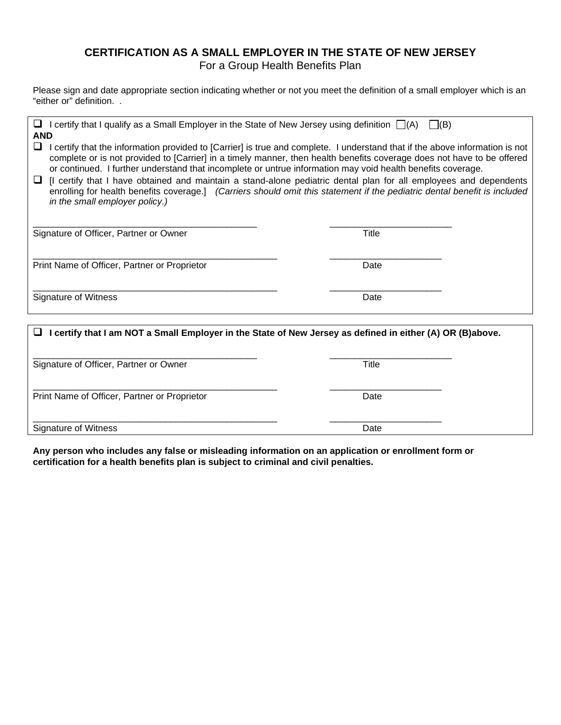#### **CERTIFICATION AS A SMALL EMPLOYER IN THE STATE OF NEW JERSEY** For a Group Health Benefits Plan

Please sign and date appropriate section indicating whether or not you meet the definition of a small employer which is an "either or" definition. .

| <b>I</b> I certify that I qualify as a Small Employer in the State of New Jersey using definition $\Box(A)$ $\Box(B)$<br><b>AND</b>                                                                                                                                                                                                                                                                                                                                                                                                                                                                                                                                        |       |  |
|----------------------------------------------------------------------------------------------------------------------------------------------------------------------------------------------------------------------------------------------------------------------------------------------------------------------------------------------------------------------------------------------------------------------------------------------------------------------------------------------------------------------------------------------------------------------------------------------------------------------------------------------------------------------------|-------|--|
| $\sqcup$<br>I certify that the information provided to [Carrier] is true and complete. I understand that if the above information is not<br>complete or is not provided to [Carrier] in a timely manner, then health benefits coverage does not have to be offered<br>or continued. I further understand that incomplete or untrue information may void health benefits coverage.<br>Il certify that I have obtained and maintain a stand-alone pediatric dental plan for all employees and dependents<br>⊔<br>enrolling for health benefits coverage.] (Carriers should omit this statement if the pediatric dental benefit is included<br>in the small employer policy.) |       |  |
| Signature of Officer, Partner or Owner                                                                                                                                                                                                                                                                                                                                                                                                                                                                                                                                                                                                                                     | Title |  |
| Print Name of Officer, Partner or Proprietor                                                                                                                                                                                                                                                                                                                                                                                                                                                                                                                                                                                                                               | Date  |  |
| Signature of Witness                                                                                                                                                                                                                                                                                                                                                                                                                                                                                                                                                                                                                                                       | Date  |  |
| I certify that I am NOT a Small Employer in the State of New Jersey as defined in either (A) OR (B)above.<br>ш                                                                                                                                                                                                                                                                                                                                                                                                                                                                                                                                                             |       |  |
|                                                                                                                                                                                                                                                                                                                                                                                                                                                                                                                                                                                                                                                                            |       |  |
| Signature of Officer, Partner or Owner                                                                                                                                                                                                                                                                                                                                                                                                                                                                                                                                                                                                                                     | Title |  |
| Print Name of Officer, Partner or Proprietor                                                                                                                                                                                                                                                                                                                                                                                                                                                                                                                                                                                                                               | Date  |  |

\_\_\_\_\_\_\_\_\_\_\_\_\_\_\_\_\_\_\_\_\_\_\_\_\_\_\_\_\_\_\_\_\_\_\_\_\_\_\_\_\_\_\_\_\_\_\_\_ \_\_\_\_\_\_\_\_\_\_\_\_\_\_\_\_\_\_\_\_\_\_ Signature of Witness Date

**Any person who includes any false or misleading information on an application or enrollment form or certification for a health benefits plan is subject to criminal and civil penalties.**